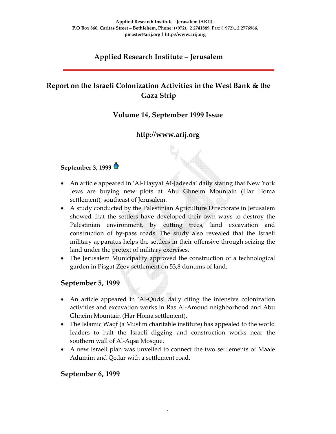# **Applied Research Institute – Jerusalem**

# **Report on the Israeli Colonization Activities in the West Bank & the Gaza Strip**

# **Volume 14, September 1999 Issue**

# **http://www.arij.org**

# **September 3, 1999**

- An article appeared in 'Al-Hayyat Al-Jadeeda' daily stating that New York Jews are buying new plots at Abu Ghneim Mountain (Har Homa settlement), southeast of Jerusalem.
- A study conducted by the Palestinian Agriculture Directorate in Jerusalem showed that the settlers have developed their own ways to destroy the Palestinian environment, by cutting trees, land excavation and construction of by‐pass roads. The study also revealed that the Israeli military apparatus helps the settlers in their offensive through seizing the land under the pretext of military exercises.
- The Jerusalem Municipality approved the construction of a technological garden in Pisgat Zeev settlement on 53,8 dunums of land.

## **September 5, 1999**

- An article appeared in 'Al‐Quds' daily citing the intensive colonization activities and excavation works in Ras Al‐Amoud neighborhood and Abu Ghneim Mountain (Har Homa settlement).
- The Islamic Waqf (a Muslim charitable institute) has appealed to the world leaders to halt the Israeli digging and construction works near the southern wall of Al‐Aqsa Mosque.
- A new Israeli plan was unveiled to connect the two settlements of Maale Adumim and Qedar with a settlement road.

#### **September 6, 1999**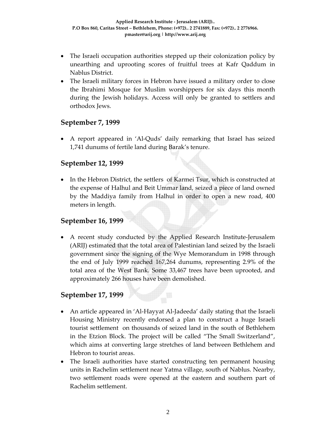- The Israeli occupation authorities stepped up their colonization policy by unearthing and uprooting scores of fruitful trees at Kafr Qaddum in Nablus District.
- The Israeli military forces in Hebron have issued a military order to close the Ibrahimi Mosque for Muslim worshippers for six days this month during the Jewish holidays. Access will only be granted to settlers and orthodox Jews.

### **September 7, 1999**

• A report appeared in 'Al-Quds' daily remarking that Israel has seized 1,741 dunums of fertile land during Barak's tenure.

### **September 12, 1999**

• In the Hebron District, the settlers of Karmei Tsur, which is constructed at the expense of Halhul and Beit Ummar land, seized a piece of land owned by the Maddiya family from Halhul in order to open a new road, 400 meters in length.

## **September 16, 1999**

• A recent study conducted by the Applied Research Institute‐Jerusalem (ARIJ) estimated that the total area of Palestinian land seized by the Israeli government since the signing of the Wye Memorandum in 1998 through the end of July 1999 reached 167,264 dunums, representing 2.9% of the total area of the West Bank. Some 33,467 trees have been uprooted, and approximately 266 houses have been demolished.

#### **September 17, 1999**

- An article appeared in 'Al-Hayyat Al-Jadeeda' daily stating that the Israeli Housing Ministry recently endorsed a plan to construct a huge Israeli tourist settlement on thousands of seized land in the south of Bethlehem in the Etzion Block. The project will be called "The Small Switzerland", which aims at converting large stretches of land between Bethlehem and Hebron to tourist areas.
- The Israeli authorities have started constructing ten permanent housing units in Rachelim settlement near Yatma village, south of Nablus. Nearby, two settlement roads were opened at the eastern and southern part of Rachelim settlement.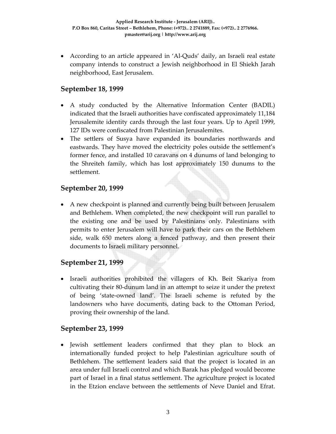• According to an article appeared in 'Al‐Quds' daily, an Israeli real estate company intends to construct a Jewish neighborhood in El Shiekh Jarah neighborhood, East Jerusalem.

## **September 18, 1999**

- A study conducted by the Alternative Information Center (BADIL) indicated that the Israeli authorities have confiscated approximately 11,184 Jerusalemite identity cards through the last four years. Up to April 1999, 127 IDs were confiscated from Palestinian Jerusalemites.
- The settlers of Susya have expanded its boundaries northwards and eastwards. They have moved the electricity poles outside the settlement's former fence, and installed 10 caravans on 4 dunums of land belonging to the Shreiteh family, which has lost approximately 150 dunums to the settlement.

### **September 20, 1999**

• A new checkpoint is planned and currently being built between Jerusalem and Bethlehem. When completed, the new checkpoint will run parallel to the existing one and be used by Palestinians only. Palestinians with permits to enter Jerusalem will have to park their cars on the Bethlehem side, walk 650 meters along a fenced pathway, and then present their documents to Israeli military personnel.

#### **September 21, 1999**

• Israeli authorities prohibited the villagers of Kh. Beit Skariya from cultivating their 80‐dunum land in an attempt to seize it under the pretext of being 'state‐owned land'. The Israeli scheme is refuted by the landowners who have documents, dating back to the Ottoman Period, proving their ownership of the land.

#### **September 23, 1999**

• Jewish settlement leaders confirmed that they plan to block an internationally funded project to help Palestinian agriculture south of Bethlehem. The settlement leaders said that the project is located in an area under full Israeli control and which Barak has pledged would become part of Israel in a final status settlement. The agriculture project is located in the Etzion enclave between the settlements of Neve Daniel and Efrat.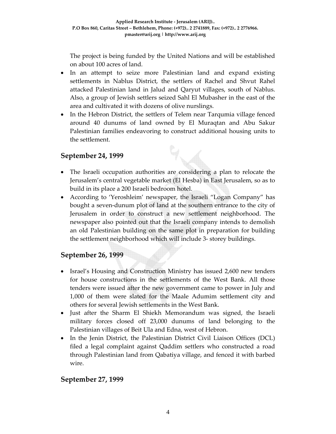The project is being funded by the United Nations and will be established on about 100 acres of land.

- In an attempt to seize more Palestinian land and expand existing settlements in Nablus District, the settlers of Rachel and Shvut Rahel attacked Palestinian land in Jalud and Qaryut villages, south of Nablus. Also, a group of Jewish settlers seized Sahl El Mubasher in the east of the area and cultivated it with dozens of olive nurslings.
- In the Hebron District, the settlers of Telem near Tarqumia village fenced around 40 dunums of land owned by El Muraqtan and Abu Sakur Palestinian families endeavoring to construct additional housing units to the settlement.

 $\mathbb{Q}_\mathbb{C}$ 

## **September 24, 1999**

- The Israeli occupation authorities are considering a plan to relocate the Jerusalem's central vegetable market (El Hesba) in East Jerusalem, so as to build in its place a 200 Israeli bedroom hotel.
- According to 'Yeroshleim' newspaper, the Israeli "Logan Company" has bought a seven‐dunum plot of land at the southern entrance to the city of Jerusalem in order to construct a new settlement neighborhood. The newspaper also pointed out that the Israeli company intends to demolish an old Palestinian building on the same plot in preparation for building the settlement neighborhood which will include 3‐ storey buildings.

## **September 26, 1999**

- Israel's Housing and Construction Ministry has issued 2,600 new tenders for house constructions in the settlements of the West Bank. All those tenders were issued after the new government came to power in July and 1,000 of them were slated for the Maale Adumim settlement city and others for several Jewish settlements in the West Bank.
- Just after the Sharm El Shiekh Memorandum was signed, the Israeli military forces closed off 23,000 dunums of land belonging to the Palestinian villages of Beit Ula and Edna, west of Hebron.
- In the Jenin District, the Palestinian District Civil Liaison Offices (DCL) filed a legal complaint against Qaddim settlers who constructed a road through Palestinian land from Qabatiya village, and fenced it with barbed wire.

## **September 27, 1999**